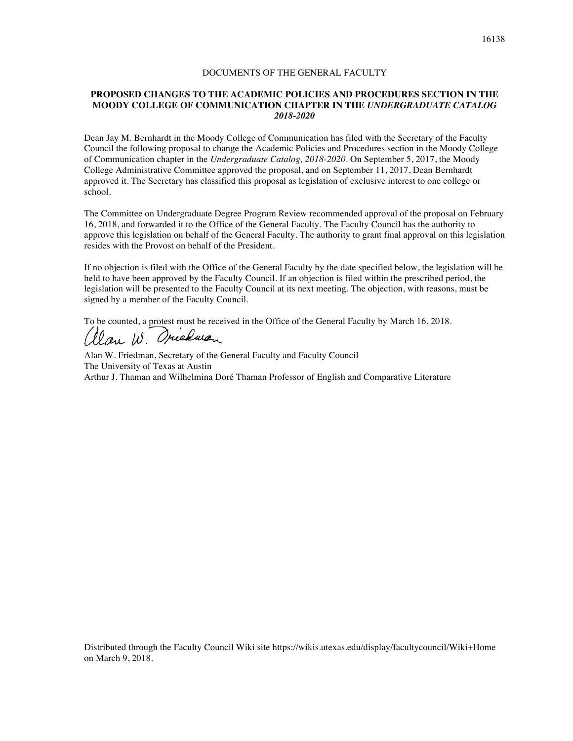## DOCUMENTS OF THE GENERAL FACULTY

## **PROPOSED CHANGES TO THE ACADEMIC POLICIES AND PROCEDURES SECTION IN THE MOODY COLLEGE OF COMMUNICATION CHAPTER IN THE** *UNDERGRADUATE CATALOG 2018-2020*

Dean Jay M. Bernhardt in the Moody College of Communication has filed with the Secretary of the Faculty Council the following proposal to change the Academic Policies and Procedures section in the Moody College of Communication chapter in the *Undergraduate Catalog, 2018-2020*. On September 5, 2017, the Moody College Administrative Committee approved the proposal, and on September 11, 2017, Dean Bernhardt approved it. The Secretary has classified this proposal as legislation of exclusive interest to one college or school.

The Committee on Undergraduate Degree Program Review recommended approval of the proposal on February 16, 2018, and forwarded it to the Office of the General Faculty. The Faculty Council has the authority to approve this legislation on behalf of the General Faculty. The authority to grant final approval on this legislation resides with the Provost on behalf of the President.

If no objection is filed with the Office of the General Faculty by the date specified below, the legislation will be held to have been approved by the Faculty Council. If an objection is filed within the prescribed period, the legislation will be presented to the Faculty Council at its next meeting. The objection, with reasons, must be signed by a member of the Faculty Council.

To be counted, a protest must be received in the Office of the General Faculty by March 16, 2018.

Clau W. Oriedwan

Alan W. Friedman, Secretary of the General Faculty and Faculty Council The University of Texas at Austin Arthur J. Thaman and Wilhelmina Doré Thaman Professor of English and Comparative Literature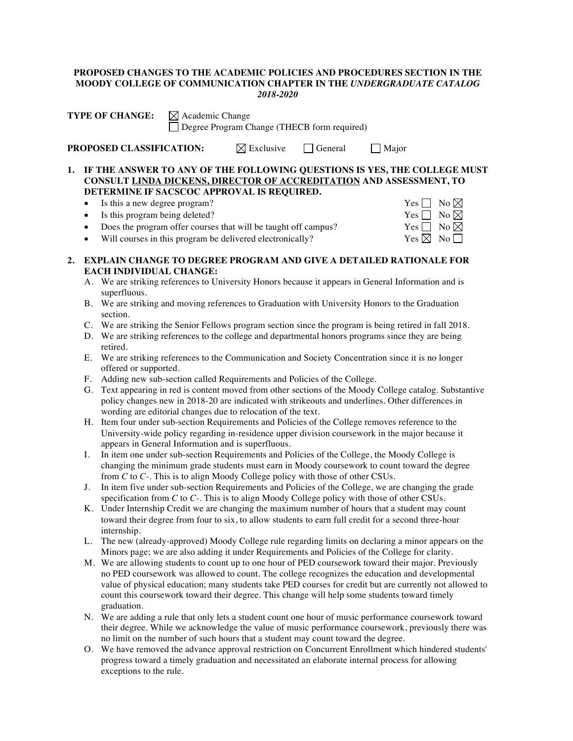## **PROPOSED CHANGES TO THE ACADEMIC POLICIES AND PROCEDURES SECTION IN THE MOODY COLLEGE OF COMMUNICATION CHAPTER IN THE** *UNDERGRADUATE CATALOG 2018-2020*

| <b>TYPE OF CHANGE:</b>          | $\boxtimes$ Academic Change<br>□ Degree Program Change (THECB form required) |                                      |  |       |  |
|---------------------------------|------------------------------------------------------------------------------|--------------------------------------|--|-------|--|
| <b>PROPOSED CLASSIFICATION:</b> |                                                                              | $\boxtimes$ Exclusive $\Box$ General |  | Major |  |
|                                 |                                                                              |                                      |  |       |  |

**1. IF THE ANSWER TO ANY OF THE FOLLOWING QUESTIONS IS YES, THE COLLEGE MUST CONSULT LINDA DICKENS, DIRECTOR OF ACCREDITATION AND ASSESSMENT, TO DETERMINE IF SACSCOC APPROVAL IS REQUIRED.**

- Is this a new degree program? Yes  $\Box$  No  $\boxtimes$
- 
- 
- Is this program being deleted?<br>
Does the program offer courses that will be taught off campus? Yes  $\Box$  No  $\boxtimes$ • Does the program offer courses that will be taught off campus?
- Will courses in this program be delivered electronically?  $Yes \boxtimes No \square$
- **2. EXPLAIN CHANGE TO DEGREE PROGRAM AND GIVE A DETAILED RATIONALE FOR EACH INDIVIDUAL CHANGE:**
	- A. We are striking references to University Honors because it appears in General Information and is superfluous.
	- B. We are striking and moving references to Graduation with University Honors to the Graduation section.
	- C. We are striking the Senior Fellows program section since the program is being retired in fall 2018.
	- D. We are striking references to the college and departmental honors programs since they are being retired.
	- E. We are striking references to the Communication and Society Concentration since it is no longer offered or supported.
	- F. Adding new sub-section called Requirements and Policies of the College.
	- G. Text appearing in red is content moved from other sections of the Moody College catalog. Substantive policy changes new in 2018-20 are indicated with strikeouts and underlines. Other differences in wording are editorial changes due to relocation of the text.
	- H. Item four under sub-section Requirements and Policies of the College removes reference to the University-wide policy regarding in-residence upper division coursework in the major because it appears in General Information and is superfluous.
	- I. In item one under sub-section Requirements and Policies of the College, the Moody College is changing the minimum grade students must earn in Moody coursework to count toward the degree from *C* to *C-*. This is to align Moody College policy with those of other CSUs.
	- J. In item five under sub-section Requirements and Policies of the College, we are changing the grade specification from *C* to *C-*. This is to align Moody College policy with those of other CSUs.
	- K. Under Internship Credit we are changing the maximum number of hours that a student may count toward their degree from four to six, to allow students to earn full credit for a second three-hour internship.
	- L. The new (already-approved) Moody College rule regarding limits on declaring a minor appears on the Minors page; we are also adding it under Requirements and Policies of the College for clarity.
	- M. We are allowing students to count up to one hour of PED coursework toward their major. Previously no PED coursework was allowed to count. The college recognizes the education and developmental value of physical education; many students take PED courses for credit but are currently not allowed to count this coursework toward their degree. This change will help some students toward timely graduation.
	- N. We are adding a rule that only lets a student count one hour of music performance coursework toward their degree. While we acknowledge the value of music performance coursework, previously there was no limit on the number of such hours that a student may count toward the degree.
	- O. We have removed the advance approval restriction on Concurrent Enrollment which hindered students' progress toward a timely graduation and necessitated an elaborate internal process for allowing exceptions to the rule.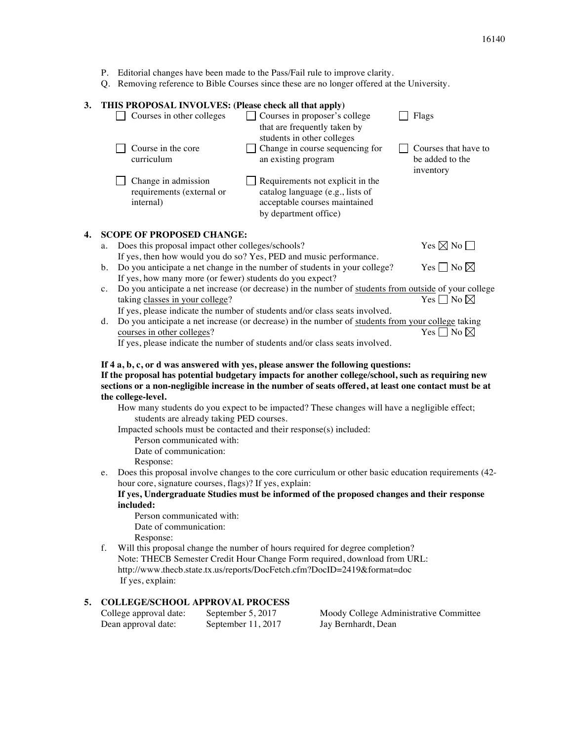- P. Editorial changes have been made to the Pass/Fail rule to improve clarity.
- Q. Removing reference to Bible Courses since these are no longer offered at the University.

## **3. THIS PROPOSAL INVOLVES: (Please check all that apply)**

|    | Courses in other colleges                                                       | Courses in proposer's college<br>that are frequently taken by<br>students in other colleges                                    | Flags                                                |  |  |
|----|---------------------------------------------------------------------------------|--------------------------------------------------------------------------------------------------------------------------------|------------------------------------------------------|--|--|
|    | Course in the core<br>curriculum                                                | Change in course sequencing for<br>an existing program                                                                         | Courses that have to<br>be added to the<br>inventory |  |  |
|    | Change in admission<br>requirements (external or<br>internal)                   | Requirements not explicit in the<br>catalog language (e.g., lists of<br>acceptable courses maintained<br>by department office) |                                                      |  |  |
| 4. | <b>SCOPE OF PROPOSED CHANGE:</b>                                                |                                                                                                                                |                                                      |  |  |
|    | Does this proposal impact other colleges/schools?<br>a.                         | Yes $\boxtimes$ No $\Box$                                                                                                      |                                                      |  |  |
|    | If yes, then how would you do so? Yes, PED and music performance.               |                                                                                                                                |                                                      |  |  |
|    | Do you anticipate a net change in the number of students in your college?<br>b. | Yes $\Box$ No $\boxtimes$                                                                                                      |                                                      |  |  |
|    | If yes, how many more (or fewer) students do you expect?                        |                                                                                                                                |                                                      |  |  |
|    | $c_{\cdot}$                                                                     | Do you anticipate a net increase (or decrease) in the number of students from outside of your college                          |                                                      |  |  |
|    | taking classes in your college?                                                 |                                                                                                                                | No $\boxtimes$<br>Yes II                             |  |  |

If yes, please indicate the number of students and/or class seats involved. d. Do you anticipate a net increase (or decrease) in the number of students from your college taking courses in other colleges?  $Yes \Box No \boxtimes$ 

If yes, please indicate the number of students and/or class seats involved.

# **If 4 a, b, c, or d was answered with yes, please answer the following questions: If the proposal has potential budgetary impacts for another college/school, such as requiring new sections or a non-negligible increase in the number of seats offered, at least one contact must be at the college-level.**

How many students do you expect to be impacted? These changes will have a negligible effect; students are already taking PED courses.

Impacted schools must be contacted and their response(s) included:

Person communicated with:

Date of communication:

- Response:
- e. Does this proposal involve changes to the core curriculum or other basic education requirements (42 hour core, signature courses, flags)? If yes, explain:

## **If yes, Undergraduate Studies must be informed of the proposed changes and their response included:**

Person communicated with: Date of communication: Response:

f. Will this proposal change the number of hours required for degree completion? Note: THECB Semester Credit Hour Change Form required, download from URL: http://www.thecb.state.tx.us/reports/DocFetch.cfm?DocID=2419&format=doc If yes, explain:

# **5. COLLEGE/SCHOOL APPROVAL PROCESS**

College approval date: September 5, 2017 Moody College Administrative Committee Dean approval date: September 11, 2017 Jay Bernhardt, Dean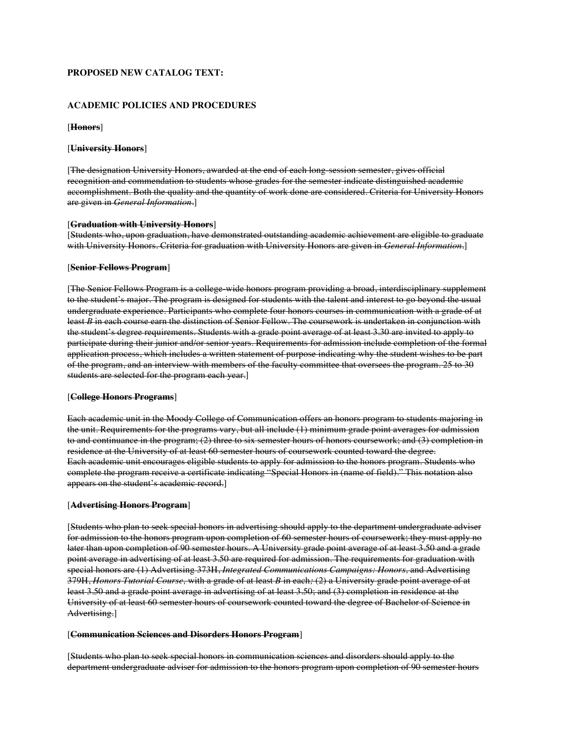# **PROPOSED NEW CATALOG TEXT:**

### **ACADEMIC POLICIES AND PROCEDURES**

### [**Honors**]

### [**University Honors**]

[The designation University Honors, awarded at the end of each long-session semester, gives official recognition and commendation to students whose grades for the semester indicate distinguished academic accomplishment. Both the quality and the quantity of work done are considered. Criteria for University Honors are given in *General Information*.]

### [**Graduation with University Honors**]

[Students who, upon graduation, have demonstrated outstanding academic achievement are eligible to graduate with University Honors. Criteria for graduation with University Honors are given in *General Information*.]

## [**Senior Fellows Program**]

[The Senior Fellows Program is a college-wide honors program providing a broad, interdisciplinary supplement to the student's major. The program is designed for students with the talent and interest to go beyond the usual undergraduate experience. Participants who complete four honors courses in communication with a grade of at least *B* in each course earn the distinction of Senior Fellow. The coursework is undertaken in conjunction with the student's degree requirements. Students with a grade point average of at least 3.30 are invited to apply to participate during their junior and/or senior years. Requirements for admission include completion of the formal application process, which includes a written statement of purpose indicating why the student wishes to be part of the program, and an interview with members of the faculty committee that oversees the program. 25 to 30 students are selected for the program each year.]

#### [**College Honors Programs**]

Each academic unit in the Moody College of Communication offers an honors program to students majoring in the unit. Requirements for the programs vary, but all include (1) minimum grade point averages for admission to and continuance in the program; (2) three to six semester hours of honors coursework; and (3) completion in residence at the University of at least 60 semester hours of coursework counted toward the degree. Each academic unit encourages eligible students to apply for admission to the honors program. Students who complete the program receive a certificate indicating "Special Honors in (name of field)." This notation also appears on the student's academic record.]

### [**Advertising Honors Program**]

[Students who plan to seek special honors in advertising should apply to the department undergraduate adviser for admission to the honors program upon completion of 60 semester hours of coursework; they must apply no later than upon completion of 90 semester hours. A University grade point average of at least 3.50 and a grade point average in advertising of at least 3.50 are required for admission. The requirements for graduation with special honors are (1) Advertising 373H, *Integrated Communications Campaigns: Honors,* and Advertising 379H, *Honors Tutorial Course,* with a grade of at least *B* in each*;* (2) a University grade point average of at least 3.50 and a grade point average in advertising of at least 3.50; and (3) completion in residence at the University of at least 60 semester hours of coursework counted toward the degree of Bachelor of Science in Advertising.]

#### [**Communication Sciences and Disorders Honors Program**]

[Students who plan to seek special honors in communication sciences and disorders should apply to the department undergraduate adviser for admission to the honors program upon completion of 90 semester hours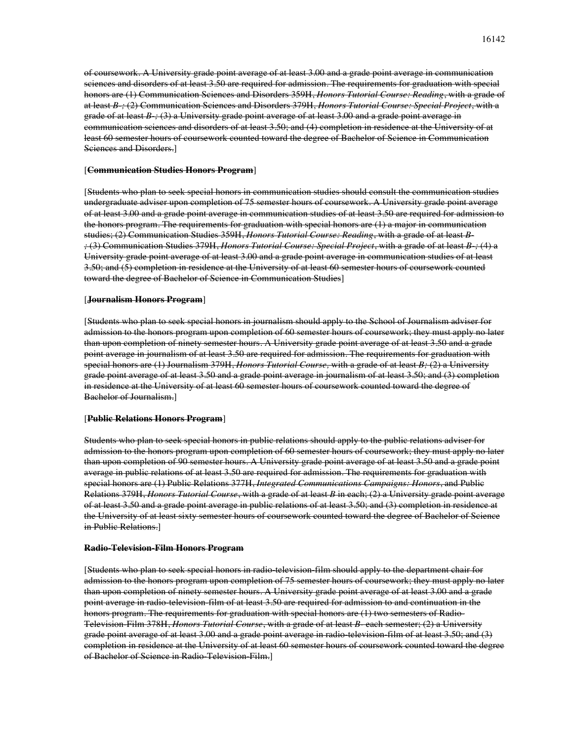of coursework. A University grade point average of at least 3.00 and a grade point average in communication sciences and disorders of at least 3.50 are required for admission. The requirements for graduation with special honors are (1) Communication Sciences and Disorders 359H, *Honors Tutorial Course: Reading*, with a grade of at least *B-;* (2) Communication Sciences and Disorders 379H, *Honors Tutorial Course: Special Project*, with a grade of at least *B-;* (3) a University grade point average of at least 3.00 and a grade point average in communication sciences and disorders of at least 3.50; and (4) completion in residence at the University of at least 60 semester hours of coursework counted toward the degree of Bachelor of Science in Communication Sciences and Disorders.]

### [**Communication Studies Honors Program**]

[Students who plan to seek special honors in communication studies should consult the communication studies undergraduate adviser upon completion of 75 semester hours of coursework. A University grade point average of at least 3.00 and a grade point average in communication studies of at least 3.50 are required for admission to the honors program. The requirements for graduation with special honors are (1) a major in communication studies; (2) Communication Studies 359H, *Honors Tutorial Course: Reading*, with a grade of at least *B- ;* (3) Communication Studies 379H, *Honors Tutorial Course: Special Project*, with a grade of at least *B-;* (4) a University grade point average of at least 3.00 and a grade point average in communication studies of at least 3.50; and (5) completion in residence at the University of at least 60 semester hours of coursework counted toward the degree of Bachelor of Science in Communication Studies]

#### [**Journalism Honors Program**]

[Students who plan to seek special honors in journalism should apply to the School of Journalism adviser for admission to the honors program upon completion of 60 semester hours of coursework; they must apply no later than upon completion of ninety semester hours. A University grade point average of at least 3.50 and a grade point average in journalism of at least 3.50 are required for admission. The requirements for graduation with special honors are (1) Journalism 379H, *Honors Tutorial Course,* with a grade of at least *B;* (2) a University grade point average of at least 3.50 and a grade point average in journalism of at least 3.50; and (3) completion in residence at the University of at least 60 semester hours of coursework counted toward the degree of Bachelor of Journalism.]

#### [**Public Relations Honors Program**]

Students who plan to seek special honors in public relations should apply to the public relations adviser for admission to the honors program upon completion of 60 semester hours of coursework; they must apply no later than upon completion of 90 semester hours. A University grade point average of at least 3.50 and a grade point average in public relations of at least 3.50 are required for admission. The requirements for graduation with special honors are (1) Public Relations 377H, *Integrated Communications Campaigns: Honors*, and Public Relations 379H, *Honors Tutorial Course*, with a grade of at least *B* in each; (2) a University grade point average of at least 3.50 and a grade point average in public relations of at least 3.50; and (3) completion in residence at the University of at least sixty semester hours of coursework counted toward the degree of Bachelor of Science in Public Relations.]

#### **Radio-Television-Film Honors Program**

[Students who plan to seek special honors in radio-television-film should apply to the department chair for admission to the honors program upon completion of 75 semester hours of coursework; they must apply no later than upon completion of ninety semester hours. A University grade point average of at least 3.00 and a grade point average in radio-television-film of at least 3.50 are required for admission to and continuation in the honors program. The requirements for graduation with special honors are (1) two semesters of Radio-Television-Film 378H, *Honors Tutorial Course*, with a grade of at least *B-* each semester; (2) a University grade point average of at least 3.00 and a grade point average in radio-television-film of at least 3.50; and (3) completion in residence at the University of at least 60 semester hours of coursework counted toward the degree of Bachelor of Science in Radio-Television-Film.]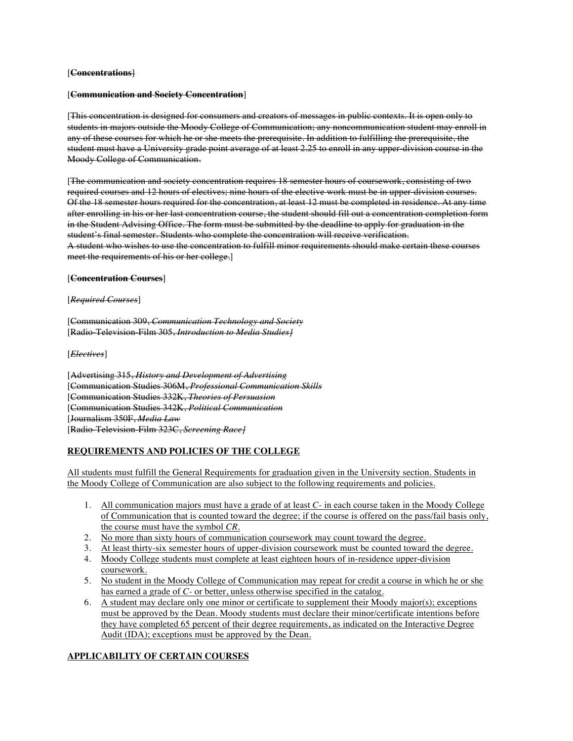## [**Concentrations**]

### [**Communication and Society Concentration**]

[This concentration is designed for consumers and creators of messages in public contexts. It is open only to students in majors outside the Moody College of Communication; any noncommunication student may enroll in any of these courses for which he or she meets the prerequisite. In addition to fulfilling the prerequisite, the student must have a University grade point average of at least 2.25 to enroll in any upper-division course in the Moody College of Communication.

[The communication and society concentration requires 18 semester hours of coursework, consisting of two required courses and 12 hours of electives; nine hours of the elective work must be in upper-division courses. Of the 18 semester hours required for the concentration, at least 12 must be completed in residence. At any time after enrolling in his or her last concentration course, the student should fill out a concentration completion form in the Student Advising Office. The form must be submitted by the deadline to apply for graduation in the student's final semester. Students who complete the concentration will receive verification. A student who wishes to use the concentration to fulfill minor requirements should make certain these courses meet the requirements of his or her college.]

### [**Concentration Courses**]

### [*Required Courses*]

[Communication 309, *Communication Technology and Society* [Radio-Television-Film 305, *Introduction to Media Studies]*

[*Electives*]

[Advertising 315, *History and Development of Advertising* [Communication Studies 306M, *Professional Communication Skills* [Communication Studies 332K, *Theories of Persuasion* [Communication Studies 342K, *Political Communication* [Journalism 350F, *Media Law* [Radio-Television-Film 323C, *Screening Race]*

# **REQUIREMENTS AND POLICIES OF THE COLLEGE**

All students must fulfill the General Requirements for graduation given in the University section. Students in the Moody College of Communication are also subject to the following requirements and policies.

- 1. All communication majors must have a grade of at least *C-* in each course taken in the Moody College of Communication that is counted toward the degree; if the course is offered on the pass/fail basis only, the course must have the symbol *CR*.
- 2. No more than sixty hours of communication coursework may count toward the degree.
- 3. At least thirty-six semester hours of upper-division coursework must be counted toward the degree.
- 4. Moody College students must complete at least eighteen hours of in-residence upper-division coursework.
- 5. No student in the Moody College of Communication may repeat for credit a course in which he or she has earned a grade of *C-* or better, unless otherwise specified in the catalog.
- 6. A student may declare only one minor or certificate to supplement their Moody major(s); exceptions must be approved by the Dean. Moody students must declare their minor/certificate intentions before they have completed 65 percent of their degree requirements, as indicated on the Interactive Degree Audit (IDA); exceptions must be approved by the Dean.

# **APPLICABILITY OF CERTAIN COURSES**